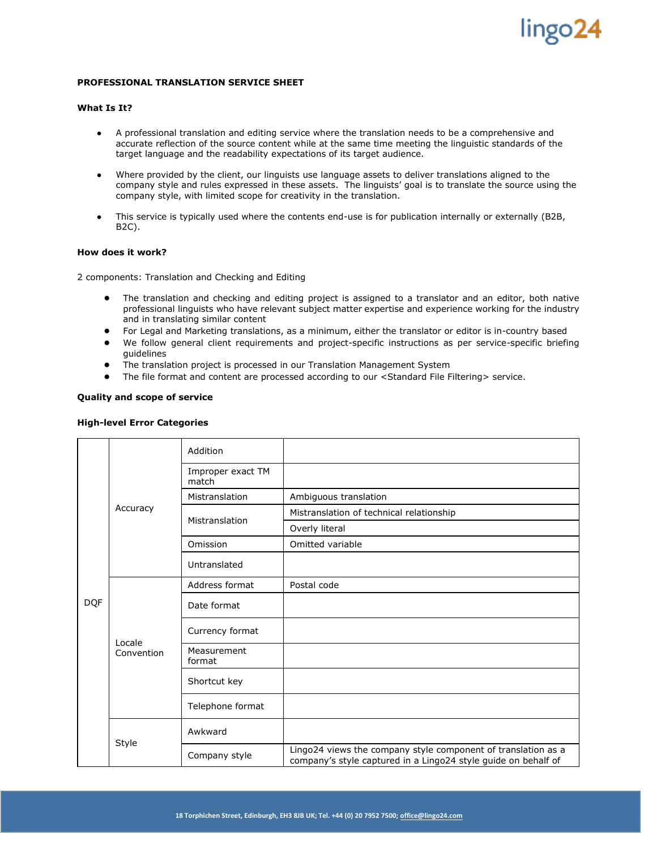# lingo24

## **PROFESSIONAL TRANSLATION SERVICE SHEET**

### **What Is It?**

- A professional translation and editing service where the translation needs to be a comprehensive and accurate reflection of the source content while at the same time meeting the linguistic standards of the target language and the readability expectations of its target audience.
- Where provided by the client, our linguists use language assets to deliver translations aligned to the company style and rules expressed in these assets. The linguists' goal is to translate the source using the company style, with limited scope for creativity in the translation.
- This service is typically used where the contents end-use is for publication internally or externally (B2B, B2C).

### **How does it work?**

2 components: Translation and Checking and Editing

- The translation and checking and editing project is assigned to a translator and an editor, both native professional linguists who have relevant subject matter expertise and experience working for the industry and in translating similar content
- For Legal and Marketing translations, as a minimum, either the translator or editor is in-country based
- We follow general client requirements and project-specific instructions as per service-specific briefing guidelines
- The translation project is processed in our Translation Management System
- The file format and content are processed according to our <Standard File Filtering> service.

### **Quality and scope of service**

### **High-level Error Categories**

| <b>DQF</b> | Accuracy             | Addition                   |                                                                                                                                 |
|------------|----------------------|----------------------------|---------------------------------------------------------------------------------------------------------------------------------|
|            |                      | Improper exact TM<br>match |                                                                                                                                 |
|            |                      | Mistranslation             | Ambiguous translation                                                                                                           |
|            |                      | Mistranslation             | Mistranslation of technical relationship                                                                                        |
|            |                      |                            | Overly literal                                                                                                                  |
|            |                      | Omission                   | Omitted variable                                                                                                                |
|            |                      | Untranslated               |                                                                                                                                 |
|            | Locale<br>Convention | Address format             | Postal code                                                                                                                     |
|            |                      | Date format                |                                                                                                                                 |
|            |                      | Currency format            |                                                                                                                                 |
|            |                      | Measurement<br>format      |                                                                                                                                 |
|            |                      | Shortcut key               |                                                                                                                                 |
|            |                      | Telephone format           |                                                                                                                                 |
|            | Style                | Awkward                    |                                                                                                                                 |
|            |                      | Company style              | Lingo24 views the company style component of translation as a<br>company's style captured in a Lingo24 style guide on behalf of |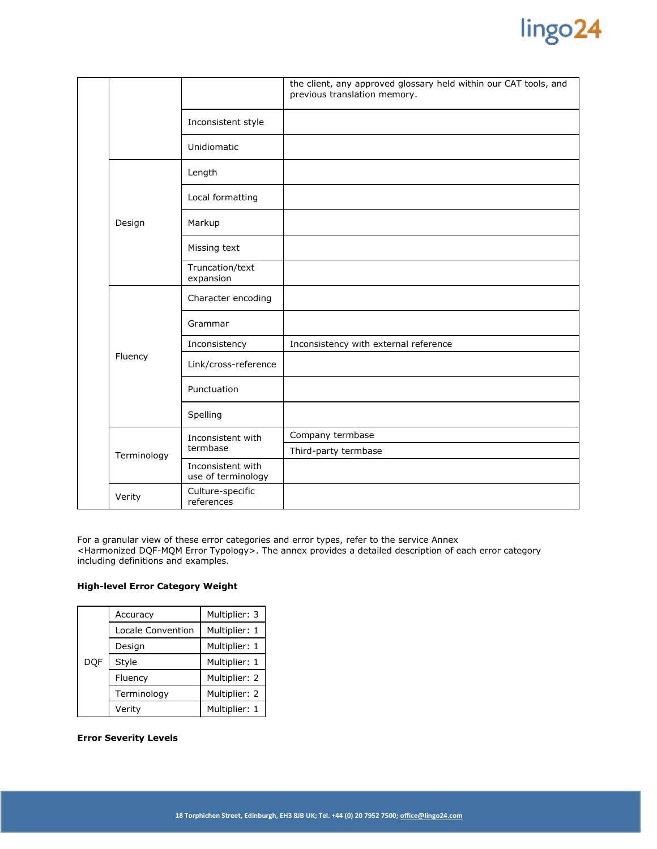

|  |             |                                         | the client, any approved glossary held within our CAT tools, and<br>previous translation memory. |
|--|-------------|-----------------------------------------|--------------------------------------------------------------------------------------------------|
|  |             | Inconsistent style                      |                                                                                                  |
|  |             | Unidiomatic                             |                                                                                                  |
|  | Design      | Length                                  |                                                                                                  |
|  |             | Local formatting                        |                                                                                                  |
|  |             | Markup                                  |                                                                                                  |
|  |             | Missing text                            |                                                                                                  |
|  |             | Truncation/text<br>expansion            |                                                                                                  |
|  | Fluency     | Character encoding                      |                                                                                                  |
|  |             | Grammar                                 |                                                                                                  |
|  |             | Inconsistency                           | Inconsistency with external reference                                                            |
|  |             | Link/cross-reference                    |                                                                                                  |
|  |             | Punctuation                             |                                                                                                  |
|  |             | Spelling                                |                                                                                                  |
|  | Terminology | Inconsistent with<br>termbase           | Company termbase                                                                                 |
|  |             |                                         | Third-party termbase                                                                             |
|  |             | Inconsistent with<br>use of terminology |                                                                                                  |
|  | Verity      | Culture-specific<br>references          |                                                                                                  |

For a granular view of these error categories and error types, refer to the service Annex <Harmonized DQF-MQM Error Typology>. The annex provides a detailed description of each error category including definitions and examples.

## **High-level Error Category Weight**

|            | Accuracy          | Multiplier: 3 |  |
|------------|-------------------|---------------|--|
|            | Locale Convention | Multiplier: 1 |  |
|            | Design            | Multiplier: 1 |  |
| <b>DOF</b> | Style             | Multiplier: 1 |  |
|            | Fluency           | Multiplier: 2 |  |
|            | Terminology       | Multiplier: 2 |  |
|            | Verity            | Multiplier: 1 |  |

## **Error Severity Levels**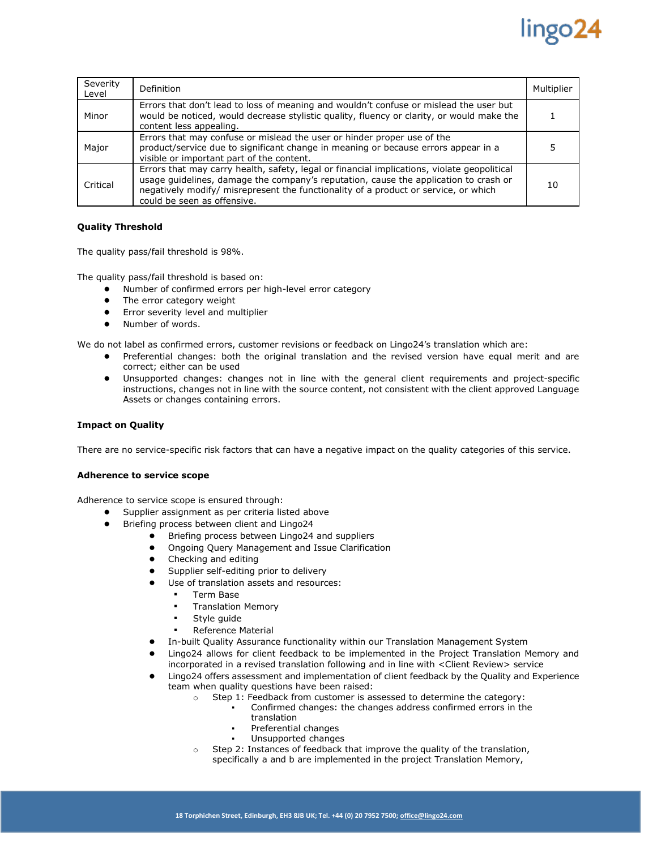## lingo24

| Severity<br>Level | Definition                                                                                                                                                                                                                                                                                                | Multiplier |
|-------------------|-----------------------------------------------------------------------------------------------------------------------------------------------------------------------------------------------------------------------------------------------------------------------------------------------------------|------------|
| Minor             | Errors that don't lead to loss of meaning and wouldn't confuse or mislead the user but<br>would be noticed, would decrease stylistic quality, fluency or clarity, or would make the<br>content less appealing.                                                                                            |            |
| Major             | Errors that may confuse or mislead the user or hinder proper use of the<br>product/service due to significant change in meaning or because errors appear in a<br>visible or important part of the content.                                                                                                |            |
| Critical          | Errors that may carry health, safety, legal or financial implications, violate geopolitical<br>usage guidelines, damage the company's reputation, cause the application to crash or<br>negatively modify/ misrepresent the functionality of a product or service, or which<br>could be seen as offensive. | 10         |

## **Quality Threshold**

The quality pass/fail threshold is 98%.

The quality pass/fail threshold is based on:

- Number of confirmed errors per high-level error category
- The error category weight
- Error severity level and multiplier
- Number of words.

We do not label as confirmed errors, customer revisions or feedback on Lingo24's translation which are:

- Preferential changes: both the original translation and the revised version have equal merit and are correct; either can be used
- Unsupported changes: changes not in line with the general client requirements and project-specific instructions, changes not in line with the source content, not consistent with the client approved Language Assets or changes containing errors.

## **Impact on Quality**

There are no service-specific risk factors that can have a negative impact on the quality categories of this service.

### **Adherence to service scope**

Adherence to service scope is ensured through:

- Supplier assignment as per criteria listed above
- Briefing process between client and Lingo24
	- Briefing process between Lingo24 and suppliers
	- Ongoing Query Management and Issue Clarification
	- Checking and editing
	- Supplier self-editing prior to delivery
		- Use of translation assets and resources:
			- **Term Base** 
				- **Translation Memory**
				- Style guide
			- Reference Material
	- In-built Quality Assurance functionality within our Translation Management System
	- Lingo24 allows for client feedback to be implemented in the Project Translation Memory and incorporated in a revised translation following and in line with <Client Review> service
	- Lingo24 offers assessment and implementation of client feedback by the Quality and Experience team when quality questions have been raised:
		- o Step 1: Feedback from customer is assessed to determine the category:
			- Confirmed changes: the changes address confirmed errors in the translation
			- Preferential changes
			- Unsupported changes
		- o Step 2: Instances of feedback that improve the quality of the translation, specifically a and b are implemented in the project Translation Memory,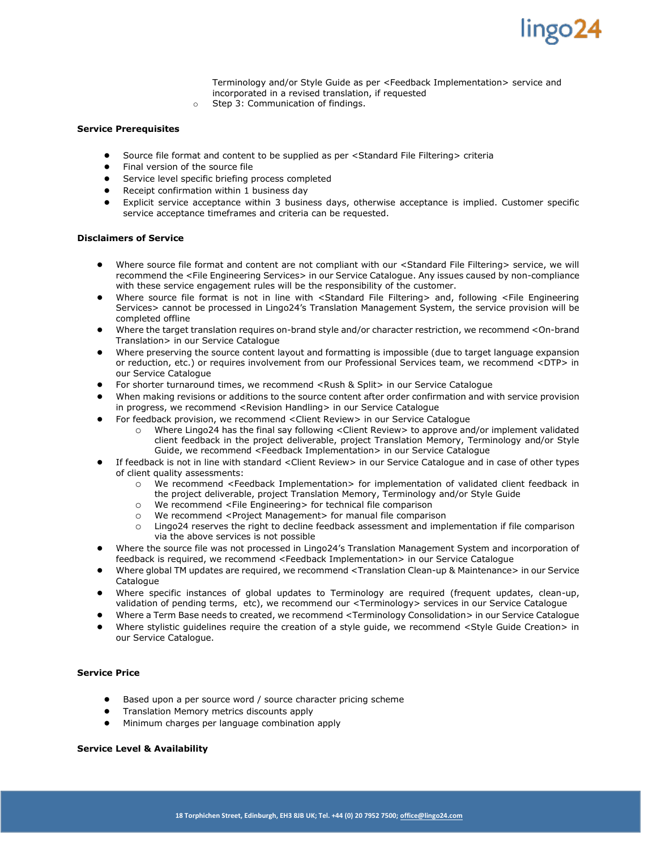

Terminology and/or Style Guide as per <Feedback Implementation> service and incorporated in a revised translation, if requested

o Step 3: Communication of findings.

### **Service Prerequisites**

- Source file format and content to be supplied as per <Standard File Filtering> criteria
- Final version of the source file
- Service level specific briefing process completed
- Receipt confirmation within 1 business day
- Explicit service acceptance within 3 business days, otherwise acceptance is implied. Customer specific service acceptance timeframes and criteria can be requested.

### **Disclaimers of Service**

- Where source file format and content are not compliant with our <Standard File Filtering> service, we will recommend the <File Engineering Services> in our Service Catalogue. Any issues caused by non-compliance with these service engagement rules will be the responsibility of the customer.
- Where source file format is not in line with <Standard File Filtering> and, following <File Engineering Services> cannot be processed in Lingo24's Translation Management System, the service provision will be completed offline
- Where the target translation requires on-brand style and/or character restriction, we recommend <On-brand Translation> in our Service Catalogue
- Where preserving the source content layout and formatting is impossible (due to target language expansion or reduction, etc.) or requires involvement from our Professional Services team, we recommend <DTP> in our Service Catalogue
- For shorter turnaround times, we recommend <Rush & Split> in our Service Catalogue
- When making revisions or additions to the source content after order confirmation and with service provision in progress, we recommend <Revision Handling> in our Service Catalogue
- For feedback provision, we recommend <Client Review> in our Service Catalogue
	- o Where Lingo24 has the final say following <Client Review> to approve and/or implement validated client feedback in the project deliverable, project Translation Memory, Terminology and/or Style Guide, we recommend <Feedback Implementation> in our Service Catalogue
- If feedback is not in line with standard <Client Review> in our Service Catalogue and in case of other types of client quality assessments:
	- o We recommend <Feedback Implementation> for implementation of validated client feedback in the project deliverable, project Translation Memory, Terminology and/or Style Guide
	- o We recommend <File Engineering> for technical file comparison
	- o We recommend <Project Management> for manual file comparison
	- o Lingo24 reserves the right to decline feedback assessment and implementation if file comparison via the above services is not possible
- Where the source file was not processed in Lingo24's Translation Management System and incorporation of feedback is required, we recommend <Feedback Implementation> in our Service Catalogue
- Where global TM updates are required, we recommend <Translation Clean-up & Maintenance> in our Service **Catalogue**
- Where specific instances of global updates to Terminology are required (frequent updates, clean-up, validation of pending terms, etc), we recommend our <Terminology> services in our Service Catalogue
- Where a Term Base needs to created, we recommend <Terminology Consolidation> in our Service Catalogue
- Where stylistic guidelines require the creation of a style guide, we recommend <Style Guide Creation> in our Service Catalogue.

### **Service Price**

- Based upon a per source word / source character pricing scheme
- Translation Memory metrics discounts apply
- Minimum charges per language combination apply

#### **Service Level & Availability**